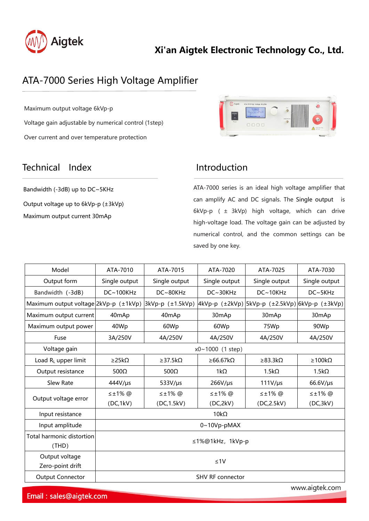

## **Xi'an Aigtek Electronic Technology Co., Ltd.**

# ATA-7000 Series High Voltage Amplifier

Maximum output voltage 6kVp-p Voltage gain adjustable by numerical control (1step) Over current and over temperature protection

### Technical Index **Introduction**

Bandwidth (-3dB) up to DC~5KHz Output voltage up to 6kVp-p (±3kVp) Maximum output current 30mAp



ATA-7000 series is an ideal high voltage amplifier that can amplify AC and DC signals. The Single output is 6kVp-p ( ± 3kVp) high voltage, which can drive high-voltage load. The voltage gain can be adjusted by numerical control, and the common settings can be saved by one key.

| Model<br>ATA-7010<br>ATA-7015<br>ATA-7020<br>ATA-7025<br>ATA-7030<br>Output form<br>Single output<br>Single output<br>Single output<br>Single output<br>Single output<br>DC~100KHz<br>Bandwidth (-3dB)<br>DC~80KHz<br>$DC \sim 30KHz$<br>DC~10KHz<br>$DC \sim 5KHz$<br>Maximum output voltage $2kVp-p$ ( $\pm 1kVp$ )<br>$ 3kVp-p (±1.5kVp) $<br>Maximum output current<br>30mAp<br>40 <sub>mAp</sub><br>40mAp<br>30mAp<br>30 <sub>mAp</sub><br>Maximum output power<br>40Wp<br>60Wp<br>60Wp<br>90Wp<br>75Wp<br>3A/250V<br>4A/250V<br>4A/250V<br>4A/250V<br>Fuse<br>4A/250V<br>Voltage gain<br>x0~1000 (1 step)<br>≥66.67kΩ<br>Load R <sub>L</sub> upper limit<br>$\geq$ 25k $\Omega$<br>$\geq$ 37.5k $\Omega$<br>$\geq$ 83.3k $\Omega$<br>$\geq 100k\Omega$<br>Output resistance<br>$1k\Omega$<br>$1.5k\Omega$<br>500 $\Omega$<br>$500\Omega$<br>$1.5k\Omega$<br>Slew Rate<br>$444V/\mu s$<br>$533V/\mu s$<br>$266V/\mu s$<br>$111V/\mu s$<br>66.6V/µs<br>$\leq \pm 1\%$ @<br>$\leq \pm 1\%$ @<br>$\leq \pm 1\%$ @<br>$\leq \pm 1\%$ @<br>$\leq \pm 1\%$ @<br>Output voltage error<br>(DC,1kV)<br>(DC, 1.5kV)<br>(DC,2kV)<br>(DC, 2.5kV)<br>(DC, 3kV)<br>$10k\Omega$<br>Input resistance |
|-------------------------------------------------------------------------------------------------------------------------------------------------------------------------------------------------------------------------------------------------------------------------------------------------------------------------------------------------------------------------------------------------------------------------------------------------------------------------------------------------------------------------------------------------------------------------------------------------------------------------------------------------------------------------------------------------------------------------------------------------------------------------------------------------------------------------------------------------------------------------------------------------------------------------------------------------------------------------------------------------------------------------------------------------------------------------------------------------------------------------------------------------------------------------------------------|
|                                                                                                                                                                                                                                                                                                                                                                                                                                                                                                                                                                                                                                                                                                                                                                                                                                                                                                                                                                                                                                                                                                                                                                                           |
| $ 4kVp-p (±2kVp) 5kVp-p (±2.5kVp) 6kVp-p (±3kVp)$                                                                                                                                                                                                                                                                                                                                                                                                                                                                                                                                                                                                                                                                                                                                                                                                                                                                                                                                                                                                                                                                                                                                         |
|                                                                                                                                                                                                                                                                                                                                                                                                                                                                                                                                                                                                                                                                                                                                                                                                                                                                                                                                                                                                                                                                                                                                                                                           |
|                                                                                                                                                                                                                                                                                                                                                                                                                                                                                                                                                                                                                                                                                                                                                                                                                                                                                                                                                                                                                                                                                                                                                                                           |
|                                                                                                                                                                                                                                                                                                                                                                                                                                                                                                                                                                                                                                                                                                                                                                                                                                                                                                                                                                                                                                                                                                                                                                                           |
|                                                                                                                                                                                                                                                                                                                                                                                                                                                                                                                                                                                                                                                                                                                                                                                                                                                                                                                                                                                                                                                                                                                                                                                           |
|                                                                                                                                                                                                                                                                                                                                                                                                                                                                                                                                                                                                                                                                                                                                                                                                                                                                                                                                                                                                                                                                                                                                                                                           |
|                                                                                                                                                                                                                                                                                                                                                                                                                                                                                                                                                                                                                                                                                                                                                                                                                                                                                                                                                                                                                                                                                                                                                                                           |
|                                                                                                                                                                                                                                                                                                                                                                                                                                                                                                                                                                                                                                                                                                                                                                                                                                                                                                                                                                                                                                                                                                                                                                                           |
|                                                                                                                                                                                                                                                                                                                                                                                                                                                                                                                                                                                                                                                                                                                                                                                                                                                                                                                                                                                                                                                                                                                                                                                           |
|                                                                                                                                                                                                                                                                                                                                                                                                                                                                                                                                                                                                                                                                                                                                                                                                                                                                                                                                                                                                                                                                                                                                                                                           |
|                                                                                                                                                                                                                                                                                                                                                                                                                                                                                                                                                                                                                                                                                                                                                                                                                                                                                                                                                                                                                                                                                                                                                                                           |
|                                                                                                                                                                                                                                                                                                                                                                                                                                                                                                                                                                                                                                                                                                                                                                                                                                                                                                                                                                                                                                                                                                                                                                                           |
|                                                                                                                                                                                                                                                                                                                                                                                                                                                                                                                                                                                                                                                                                                                                                                                                                                                                                                                                                                                                                                                                                                                                                                                           |
| Input amplitude<br>$0~10Vp$ -pMAX                                                                                                                                                                                                                                                                                                                                                                                                                                                                                                                                                                                                                                                                                                                                                                                                                                                                                                                                                                                                                                                                                                                                                         |
| <b>Total harmonic distortion</b><br>≤1%@1kHz, 1kVp-p<br>(THD)                                                                                                                                                                                                                                                                                                                                                                                                                                                                                                                                                                                                                                                                                                                                                                                                                                                                                                                                                                                                                                                                                                                             |
| Output voltage<br>$\leq 1$ V<br>Zero-point drift                                                                                                                                                                                                                                                                                                                                                                                                                                                                                                                                                                                                                                                                                                                                                                                                                                                                                                                                                                                                                                                                                                                                          |
| <b>Output Connector</b><br><b>SHV RF connector</b>                                                                                                                                                                                                                                                                                                                                                                                                                                                                                                                                                                                                                                                                                                                                                                                                                                                                                                                                                                                                                                                                                                                                        |

Email: sales@aigtek.com

www.aigtek.com